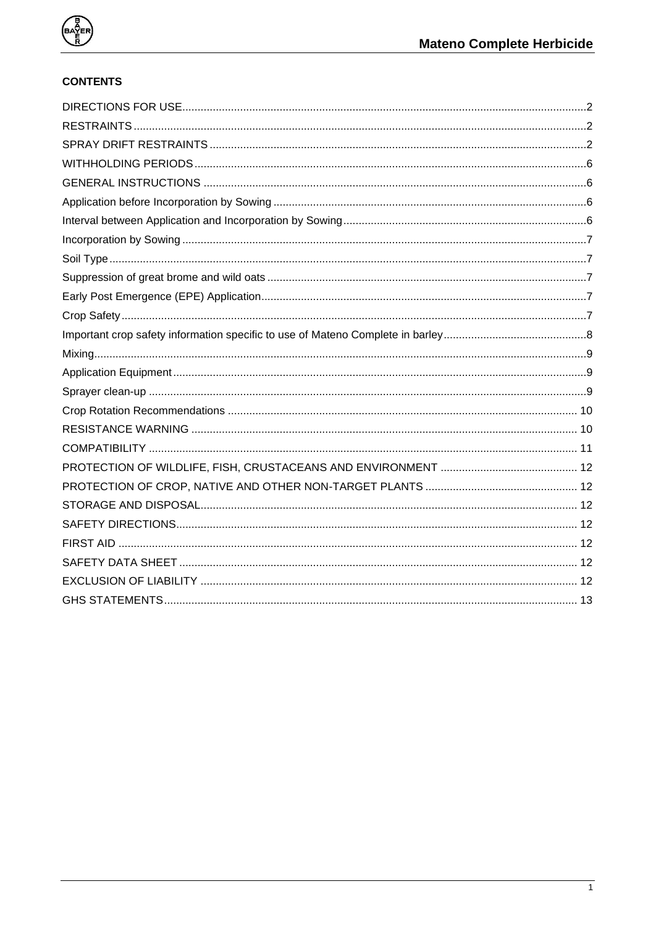

### **CONTENTS**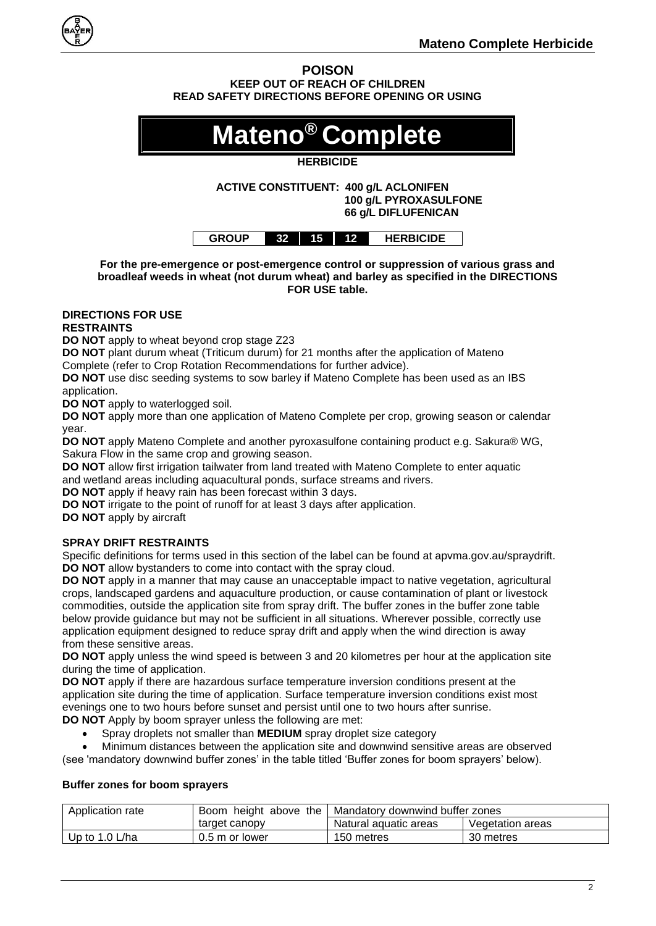

**POISON KEEP OUT OF REACH OF CHILDREN READ SAFETY DIRECTIONS BEFORE OPENING OR USING**

# **Mateno® Complete**

#### **HERBICIDE**

**ACTIVE CONSTITUENT: 400 g/L ACLONIFEN 100 g/L PYROXASULFONE 66 g/L DIFLUFENICAN**

| NUP .<br>ERBICIDE<br>15<br>12<br>24 |  |  |  |  |  |
|-------------------------------------|--|--|--|--|--|
|-------------------------------------|--|--|--|--|--|

**For the pre-emergence or post-emergence control or suppression of various grass and broadleaf weeds in wheat (not durum wheat) and barley as specified in the DIRECTIONS FOR USE table.**

## <span id="page-1-0"></span>**DIRECTIONS FOR USE**

#### <span id="page-1-1"></span>**RESTRAINTS**

**DO NOT** apply to wheat beyond crop stage Z23

**DO NOT** plant durum wheat (Triticum durum) for 21 months after the application of Mateno Complete (refer to Crop Rotation Recommendations for further advice).

**DO NOT** use disc seeding systems to sow barley if Mateno Complete has been used as an IBS application.

**DO NOT** apply to waterlogged soil.

**DO NOT** apply more than one application of Mateno Complete per crop, growing season or calendar year.

**DO NOT** apply Mateno Complete and another pyroxasulfone containing product e.g. Sakura® WG, Sakura Flow in the same crop and growing season.

**DO NOT** allow first irrigation tailwater from land treated with Mateno Complete to enter aquatic and wetland areas including aquacultural ponds, surface streams and rivers.

**DO NOT** apply if heavy rain has been forecast within 3 days.

**DO NOT** irrigate to the point of runoff for at least 3 days after application.

**DO NOT** apply by aircraft

#### <span id="page-1-2"></span>**SPRAY DRIFT RESTRAINTS**

Specific definitions for terms used in this section of the label can be found at apvma.gov.au/spraydrift. **DO NOT** allow bystanders to come into contact with the spray cloud.

**DO NOT** apply in a manner that may cause an unacceptable impact to native vegetation, agricultural crops, landscaped gardens and aquaculture production, or cause contamination of plant or livestock commodities, outside the application site from spray drift. The buffer zones in the buffer zone table below provide guidance but may not be sufficient in all situations. Wherever possible, correctly use application equipment designed to reduce spray drift and apply when the wind direction is away from these sensitive areas.

**DO NOT** apply unless the wind speed is between 3 and 20 kilometres per hour at the application site during the time of application.

**DO NOT** apply if there are hazardous surface temperature inversion conditions present at the application site during the time of application. Surface temperature inversion conditions exist most evenings one to two hours before sunset and persist until one to two hours after sunrise. **DO NOT** Apply by boom sprayer unless the following are met:

• Spray droplets not smaller than **MEDIUM** spray droplet size category

• Minimum distances between the application site and downwind sensitive areas are observed

(see 'mandatory downwind buffer zones' in the table titled 'Buffer zones for boom sprayers' below).

#### **Buffer zones for boom sprayers**

| Application rate | Boom height above the | Mandatory downwind buffer zones |                  |  |
|------------------|-----------------------|---------------------------------|------------------|--|
|                  | target canopy         | Natural aguatic areas           | Vegetation areas |  |
| Up to $1.0$ L/ha | 0.5 m or lower        | 150 metres                      | 30 metres        |  |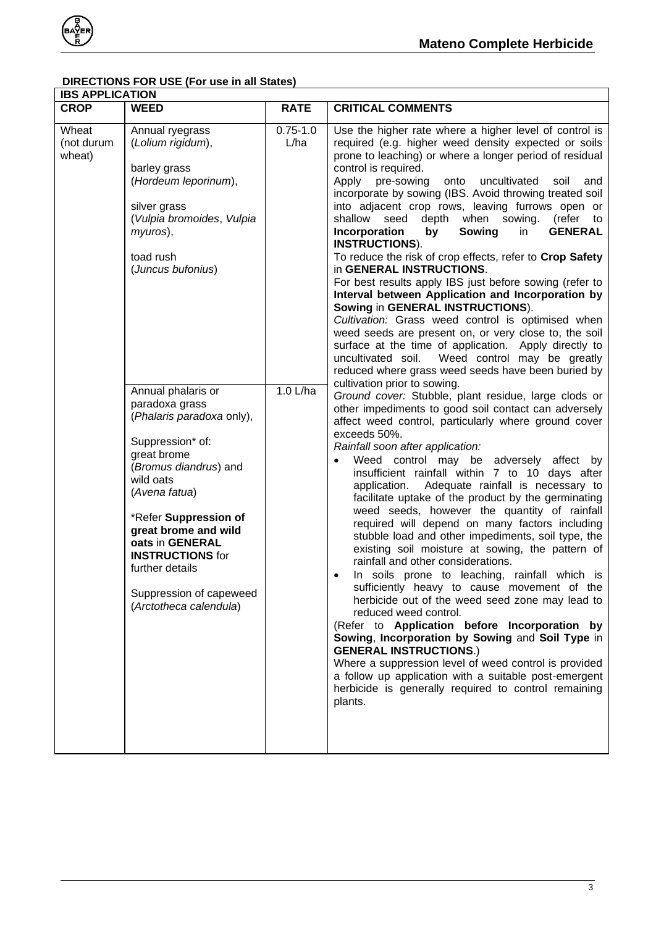

#### **DIRECTIONS FOR USE (For use in all States)**

| <b>IBS APPLICATION</b>        |                                                                                                                                                                                                                                                                                                                                                                                                                                                                                                               |                                  |                                                                                                                                                                                                                                                                                                                                                                                                                                                                                                                                                                                                                                                                                                                                                                                                                                                                                                                                                                                                                                                                                                                                                                                                                                                                                                                                                                                                                                                                                                                                                                                                                                                                                                                                                                                                                                                                                                                                                                                                                                                                                                                                                                                                                                                                                      |  |  |
|-------------------------------|---------------------------------------------------------------------------------------------------------------------------------------------------------------------------------------------------------------------------------------------------------------------------------------------------------------------------------------------------------------------------------------------------------------------------------------------------------------------------------------------------------------|----------------------------------|--------------------------------------------------------------------------------------------------------------------------------------------------------------------------------------------------------------------------------------------------------------------------------------------------------------------------------------------------------------------------------------------------------------------------------------------------------------------------------------------------------------------------------------------------------------------------------------------------------------------------------------------------------------------------------------------------------------------------------------------------------------------------------------------------------------------------------------------------------------------------------------------------------------------------------------------------------------------------------------------------------------------------------------------------------------------------------------------------------------------------------------------------------------------------------------------------------------------------------------------------------------------------------------------------------------------------------------------------------------------------------------------------------------------------------------------------------------------------------------------------------------------------------------------------------------------------------------------------------------------------------------------------------------------------------------------------------------------------------------------------------------------------------------------------------------------------------------------------------------------------------------------------------------------------------------------------------------------------------------------------------------------------------------------------------------------------------------------------------------------------------------------------------------------------------------------------------------------------------------------------------------------------------------|--|--|
| <b>CROP</b>                   | <b>WEED</b>                                                                                                                                                                                                                                                                                                                                                                                                                                                                                                   | <b>RATE</b>                      | <b>CRITICAL COMMENTS</b>                                                                                                                                                                                                                                                                                                                                                                                                                                                                                                                                                                                                                                                                                                                                                                                                                                                                                                                                                                                                                                                                                                                                                                                                                                                                                                                                                                                                                                                                                                                                                                                                                                                                                                                                                                                                                                                                                                                                                                                                                                                                                                                                                                                                                                                             |  |  |
| Wheat<br>(not durum<br>wheat) | Annual ryegrass<br>(Lolium rigidum),<br>barley grass<br>(Hordeum leporinum),<br>silver grass<br>(Vulpia bromoides, Vulpia<br>myuros),<br>toad rush<br>(Juncus bufonius)<br>Annual phalaris or<br>paradoxa grass<br>(Phalaris paradoxa only),<br>Suppression* of:<br>great brome<br>(Bromus diandrus) and<br>wild oats<br>(Avena fatua)<br>*Refer Suppression of<br>great brome and wild<br>oats in GENERAL<br><b>INSTRUCTIONS for</b><br>further details<br>Suppression of capeweed<br>(Arctotheca calendula) | $0.75 - 1.0$<br>L/ha<br>1.0 L/ha | Use the higher rate where a higher level of control is<br>required (e.g. higher weed density expected or soils<br>prone to leaching) or where a longer period of residual<br>control is required.<br>Apply pre-sowing onto<br>uncultivated<br>soil<br>and<br>incorporate by sowing (IBS. Avoid throwing treated soil<br>into adjacent crop rows, leaving furrows open or<br>depth when sowing.<br>(refer to<br>shallow seed<br>Incorporation<br>by<br>Sowing<br><b>GENERAL</b><br>in<br><b>INSTRUCTIONS).</b><br>To reduce the risk of crop effects, refer to Crop Safety<br>in GENERAL INSTRUCTIONS.<br>For best results apply IBS just before sowing (refer to<br>Interval between Application and Incorporation by<br>Sowing in GENERAL INSTRUCTIONS).<br>Cultivation: Grass weed control is optimised when<br>weed seeds are present on, or very close to, the soil<br>surface at the time of application. Apply directly to<br>Weed control may be greatly<br>uncultivated soil.<br>reduced where grass weed seeds have been buried by<br>cultivation prior to sowing.<br>Ground cover: Stubble, plant residue, large clods or<br>other impediments to good soil contact can adversely<br>affect weed control, particularly where ground cover<br>exceeds 50%.<br>Rainfall soon after application:<br>Weed control may be adversely affect by<br>insufficient rainfall within 7 to 10 days after<br>application. Adequate rainfall is necessary to<br>facilitate uptake of the product by the germinating<br>weed seeds, however the quantity of rainfall<br>required will depend on many factors including<br>stubble load and other impediments, soil type, the<br>existing soil moisture at sowing, the pattern of<br>rainfall and other considerations.<br>In soils prone to leaching, rainfall which is<br>$\bullet$<br>sufficiently heavy to cause movement of the<br>herbicide out of the weed seed zone may lead to<br>reduced weed control.<br>(Refer to Application before Incorporation by<br>Sowing, Incorporation by Sowing and Soil Type in<br><b>GENERAL INSTRUCTIONS.)</b><br>Where a suppression level of weed control is provided<br>a follow up application with a suitable post-emergent<br>herbicide is generally required to control remaining<br>plants. |  |  |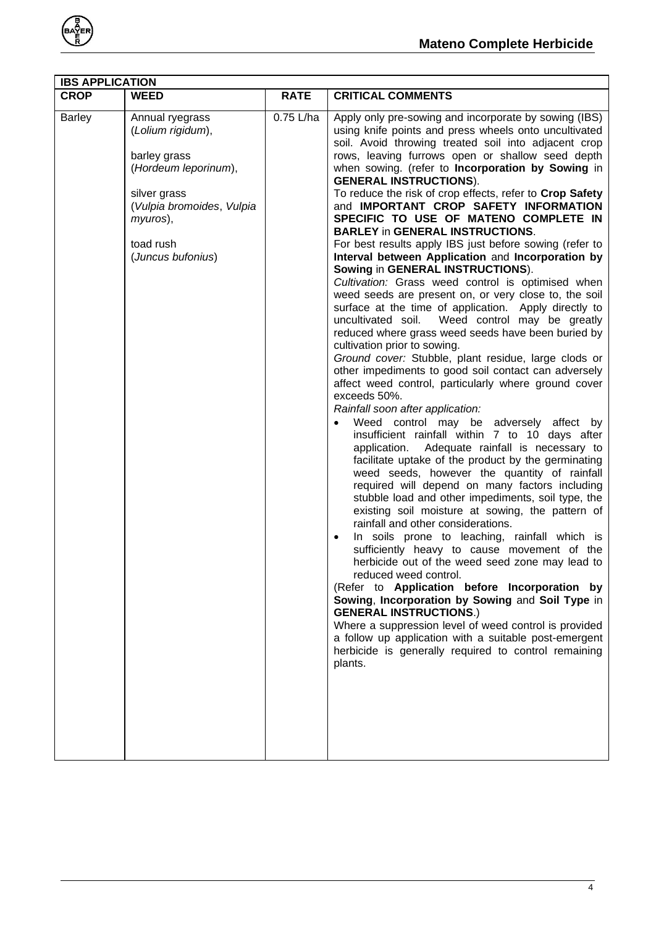

| <b>IBS APPLICATION</b> |                                                                                                                                                                         |             |                                                                                                                                                                                                                                                                                                                                                                                                                                                                                                                                                                                                                                                                                                                                                                                                                                                                                                                                                                                                                                                                                                                                                                                                                                                                                                                                                                                                                                                                                                                                                                                                                                                                                                                                                                                                                                                                                                                                                                                                                                                                                                                                                                         |  |  |
|------------------------|-------------------------------------------------------------------------------------------------------------------------------------------------------------------------|-------------|-------------------------------------------------------------------------------------------------------------------------------------------------------------------------------------------------------------------------------------------------------------------------------------------------------------------------------------------------------------------------------------------------------------------------------------------------------------------------------------------------------------------------------------------------------------------------------------------------------------------------------------------------------------------------------------------------------------------------------------------------------------------------------------------------------------------------------------------------------------------------------------------------------------------------------------------------------------------------------------------------------------------------------------------------------------------------------------------------------------------------------------------------------------------------------------------------------------------------------------------------------------------------------------------------------------------------------------------------------------------------------------------------------------------------------------------------------------------------------------------------------------------------------------------------------------------------------------------------------------------------------------------------------------------------------------------------------------------------------------------------------------------------------------------------------------------------------------------------------------------------------------------------------------------------------------------------------------------------------------------------------------------------------------------------------------------------------------------------------------------------------------------------------------------------|--|--|
| <b>CROP</b>            | <b>WEED</b>                                                                                                                                                             | <b>RATE</b> | <b>CRITICAL COMMENTS</b>                                                                                                                                                                                                                                                                                                                                                                                                                                                                                                                                                                                                                                                                                                                                                                                                                                                                                                                                                                                                                                                                                                                                                                                                                                                                                                                                                                                                                                                                                                                                                                                                                                                                                                                                                                                                                                                                                                                                                                                                                                                                                                                                                |  |  |
| <b>Barley</b>          | Annual ryegrass<br>(Lolium rigidum),<br>barley grass<br>(Hordeum leporinum),<br>silver grass<br>(Vulpia bromoides, Vulpia<br>myuros),<br>toad rush<br>(Juncus bufonius) | 0.75 L/ha   | Apply only pre-sowing and incorporate by sowing (IBS)<br>using knife points and press wheels onto uncultivated<br>soil. Avoid throwing treated soil into adjacent crop<br>rows, leaving furrows open or shallow seed depth<br>when sowing. (refer to Incorporation by Sowing in<br><b>GENERAL INSTRUCTIONS).</b><br>To reduce the risk of crop effects, refer to Crop Safety<br>and IMPORTANT CROP SAFETY INFORMATION<br>SPECIFIC TO USE OF MATENO COMPLETE IN<br><b>BARLEY in GENERAL INSTRUCTIONS.</b><br>For best results apply IBS just before sowing (refer to<br>Interval between Application and Incorporation by<br>Sowing in GENERAL INSTRUCTIONS).<br>Cultivation: Grass weed control is optimised when<br>weed seeds are present on, or very close to, the soil<br>surface at the time of application. Apply directly to<br>uncultivated soil. Weed control may be greatly<br>reduced where grass weed seeds have been buried by<br>cultivation prior to sowing.<br>Ground cover: Stubble, plant residue, large clods or<br>other impediments to good soil contact can adversely<br>affect weed control, particularly where ground cover<br>exceeds 50%.<br>Rainfall soon after application:<br>Weed control may be adversely affect by<br>insufficient rainfall within 7 to 10 days after<br>application. Adequate rainfall is necessary to<br>facilitate uptake of the product by the germinating<br>weed seeds, however the quantity of rainfall<br>required will depend on many factors including<br>stubble load and other impediments, soil type, the<br>existing soil moisture at sowing, the pattern of<br>rainfall and other considerations.<br>In soils prone to leaching, rainfall which is<br>sufficiently heavy to cause movement of the<br>herbicide out of the weed seed zone may lead to<br>reduced weed control.<br>(Refer to Application before Incorporation by<br>Sowing, Incorporation by Sowing and Soil Type in<br><b>GENERAL INSTRUCTIONS.)</b><br>Where a suppression level of weed control is provided<br>a follow up application with a suitable post-emergent<br>herbicide is generally required to control remaining<br>plants. |  |  |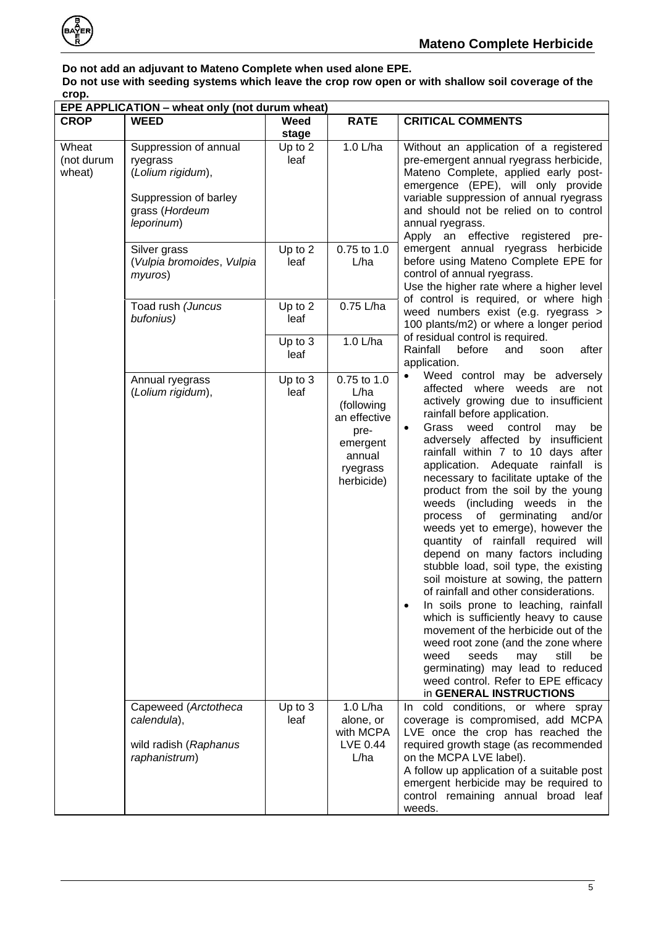

#### **Do not add an adjuvant to Mateno Complete when used alone EPE. Do not use with seeding systems which leave the crop row open or with shallow soil coverage of the crop.**

| EPE APPLICATION - wheat only (not durum wheat) |                                                                                                                 |                   |                                                                                                           |                                                                                                                                                                                                                                                                                                                                                                                                                                                                                                                                                                                                                                                                                                                                                                                                                                                                                                                                                                                                                         |  |
|------------------------------------------------|-----------------------------------------------------------------------------------------------------------------|-------------------|-----------------------------------------------------------------------------------------------------------|-------------------------------------------------------------------------------------------------------------------------------------------------------------------------------------------------------------------------------------------------------------------------------------------------------------------------------------------------------------------------------------------------------------------------------------------------------------------------------------------------------------------------------------------------------------------------------------------------------------------------------------------------------------------------------------------------------------------------------------------------------------------------------------------------------------------------------------------------------------------------------------------------------------------------------------------------------------------------------------------------------------------------|--|
| <b>CROP</b>                                    | <b>WEED</b>                                                                                                     | Weed<br>stage     | <b>RATE</b>                                                                                               | <b>CRITICAL COMMENTS</b>                                                                                                                                                                                                                                                                                                                                                                                                                                                                                                                                                                                                                                                                                                                                                                                                                                                                                                                                                                                                |  |
| Wheat<br>(not durum<br>wheat)                  | Suppression of annual<br>ryegrass<br>(Lolium rigidum),<br>Suppression of barley<br>grass (Hordeum<br>leporinum) | Up to 2<br>leaf   | 1.0 L/ha                                                                                                  | Without an application of a registered<br>pre-emergent annual ryegrass herbicide,<br>Mateno Complete, applied early post-<br>emergence (EPE), will only provide<br>variable suppression of annual ryegrass<br>and should not be relied on to control<br>annual ryegrass.<br>Apply an effective registered pre-                                                                                                                                                                                                                                                                                                                                                                                                                                                                                                                                                                                                                                                                                                          |  |
|                                                | Silver grass<br>(Vulpia bromoides, Vulpia<br>myuros)                                                            | Up to 2<br>leaf   | 0.75 to 1.0<br>L/ha                                                                                       | emergent annual ryegrass herbicide<br>before using Mateno Complete EPE for<br>control of annual ryegrass.<br>Use the higher rate where a higher level                                                                                                                                                                                                                                                                                                                                                                                                                                                                                                                                                                                                                                                                                                                                                                                                                                                                   |  |
|                                                | Toad rush (Juncus<br>bufonius)                                                                                  | Up to 2<br>leaf   | 0.75 L/ha                                                                                                 | of control is required, or where high<br>weed numbers exist (e.g. ryegrass ><br>100 plants/m2) or where a longer period                                                                                                                                                                                                                                                                                                                                                                                                                                                                                                                                                                                                                                                                                                                                                                                                                                                                                                 |  |
|                                                |                                                                                                                 | Up to 3<br>leaf   | 1.0 L/ha                                                                                                  | of residual control is required.<br>Rainfall<br>after<br>before<br>and<br>soon<br>application.                                                                                                                                                                                                                                                                                                                                                                                                                                                                                                                                                                                                                                                                                                                                                                                                                                                                                                                          |  |
|                                                | Annual ryegrass<br>(Lolium rigidum),                                                                            | Up to 3<br>leaf   | 0.75 to 1.0<br>L/ha<br>(following<br>an effective<br>pre-<br>emergent<br>annual<br>ryegrass<br>herbicide) | Weed control may be adversely<br>affected where weeds are not<br>actively growing due to insufficient<br>rainfall before application.<br>weed control<br>Grass<br>may<br>be<br>$\bullet$<br>adversely affected by insufficient<br>rainfall within 7 to 10 days after<br>application. Adequate rainfall is<br>necessary to facilitate uptake of the<br>product from the soil by the young<br>weeds (including weeds<br>in the<br>of germinating<br>and/or<br>process<br>weeds yet to emerge), however the<br>quantity of rainfall required will<br>depend on many factors including<br>stubble load, soil type, the existing<br>soil moisture at sowing, the pattern<br>of rainfall and other considerations.<br>In soils prone to leaching, rainfall<br>which is sufficiently heavy to cause<br>movement of the herbicide out of the<br>weed root zone (and the zone where<br>weed<br>seeds<br>may<br>still<br>be<br>germinating) may lead to reduced<br>weed control. Refer to EPE efficacy<br>in GENERAL INSTRUCTIONS |  |
|                                                | Capeweed (Arctotheca<br>calendula),<br>wild radish (Raphanus<br>raphanistrum)                                   | Up to $3$<br>leaf | 1.0 L/ha<br>alone, or<br>with MCPA<br>LVE 0.44<br>L/ha                                                    | cold conditions, or where spray<br>In In<br>coverage is compromised, add MCPA<br>LVE once the crop has reached the<br>required growth stage (as recommended<br>on the MCPA LVE label).<br>A follow up application of a suitable post<br>emergent herbicide may be required to<br>control remaining annual broad leaf<br>weeds.                                                                                                                                                                                                                                                                                                                                                                                                                                                                                                                                                                                                                                                                                          |  |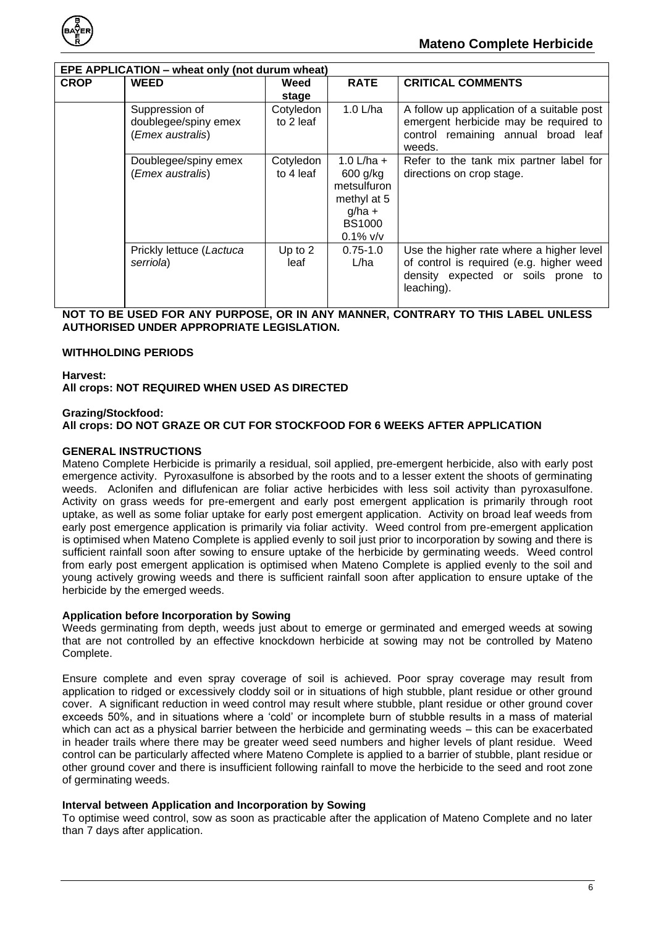

| EPE APPLICATION - wheat only (not durum wheat) |                                                            |                        |                                                                                                    |                                                                                                                                          |  |  |
|------------------------------------------------|------------------------------------------------------------|------------------------|----------------------------------------------------------------------------------------------------|------------------------------------------------------------------------------------------------------------------------------------------|--|--|
| <b>CROP</b>                                    | <b>WEED</b>                                                | Weed<br>stage          | <b>RATE</b>                                                                                        | <b>CRITICAL COMMENTS</b>                                                                                                                 |  |  |
|                                                | Suppression of<br>doublegee/spiny emex<br>(Emex australis) | Cotyledon<br>to 2 leaf | 1.0 L/ha                                                                                           | A follow up application of a suitable post<br>emergent herbicide may be required to<br>control remaining annual broad leaf<br>weeds.     |  |  |
|                                                | Doublegee/spiny emex<br>(Emex australis)                   | Cotyledon<br>to 4 leaf | 1.0 L/ha $+$<br>600 g/kg<br>metsulfuron<br>methyl at 5<br>$g/ha +$<br><b>BS1000</b><br>$0.1\%$ v/v | Refer to the tank mix partner label for<br>directions on crop stage.                                                                     |  |  |
|                                                | Prickly lettuce (Lactuca<br>serriola)                      | Up to $2$<br>leaf      | $0.75 - 1.0$<br>L/ha                                                                               | Use the higher rate where a higher level<br>of control is required (e.g. higher weed<br>density expected or soils prone to<br>leaching). |  |  |

#### **NOT TO BE USED FOR ANY PURPOSE, OR IN ANY MANNER, CONTRARY TO THIS LABEL UNLESS AUTHORISED UNDER APPROPRIATE LEGISLATION.**

#### <span id="page-5-0"></span>**WITHHOLDING PERIODS**

**Harvest:** 

**All crops: NOT REQUIRED WHEN USED AS DIRECTED**

#### **Grazing/Stockfood: All crops: DO NOT GRAZE OR CUT FOR STOCKFOOD FOR 6 WEEKS AFTER APPLICATION**

#### <span id="page-5-1"></span>**GENERAL INSTRUCTIONS**

Mateno Complete Herbicide is primarily a residual, soil applied, pre-emergent herbicide, also with early post emergence activity. Pyroxasulfone is absorbed by the roots and to a lesser extent the shoots of germinating weeds. Aclonifen and diflufenican are foliar active herbicides with less soil activity than pyroxasulfone. Activity on grass weeds for pre-emergent and early post emergent application is primarily through root uptake, as well as some foliar uptake for early post emergent application. Activity on broad leaf weeds from early post emergence application is primarily via foliar activity. Weed control from pre-emergent application is optimised when Mateno Complete is applied evenly to soil just prior to incorporation by sowing and there is sufficient rainfall soon after sowing to ensure uptake of the herbicide by germinating weeds. Weed control from early post emergent application is optimised when Mateno Complete is applied evenly to the soil and young actively growing weeds and there is sufficient rainfall soon after application to ensure uptake of the herbicide by the emerged weeds.

#### <span id="page-5-2"></span>**Application before Incorporation by Sowing**

Weeds germinating from depth, weeds just about to emerge or germinated and emerged weeds at sowing that are not controlled by an effective knockdown herbicide at sowing may not be controlled by Mateno Complete.

Ensure complete and even spray coverage of soil is achieved. Poor spray coverage may result from application to ridged or excessively cloddy soil or in situations of high stubble, plant residue or other ground cover. A significant reduction in weed control may result where stubble, plant residue or other ground cover exceeds 50%, and in situations where a 'cold' or incomplete burn of stubble results in a mass of material which can act as a physical barrier between the herbicide and germinating weeds – this can be exacerbated in header trails where there may be greater weed seed numbers and higher levels of plant residue. Weed control can be particularly affected where Mateno Complete is applied to a barrier of stubble, plant residue or other ground cover and there is insufficient following rainfall to move the herbicide to the seed and root zone of germinating weeds.

#### <span id="page-5-3"></span>**Interval between Application and Incorporation by Sowing**

To optimise weed control, sow as soon as practicable after the application of Mateno Complete and no later than 7 days after application.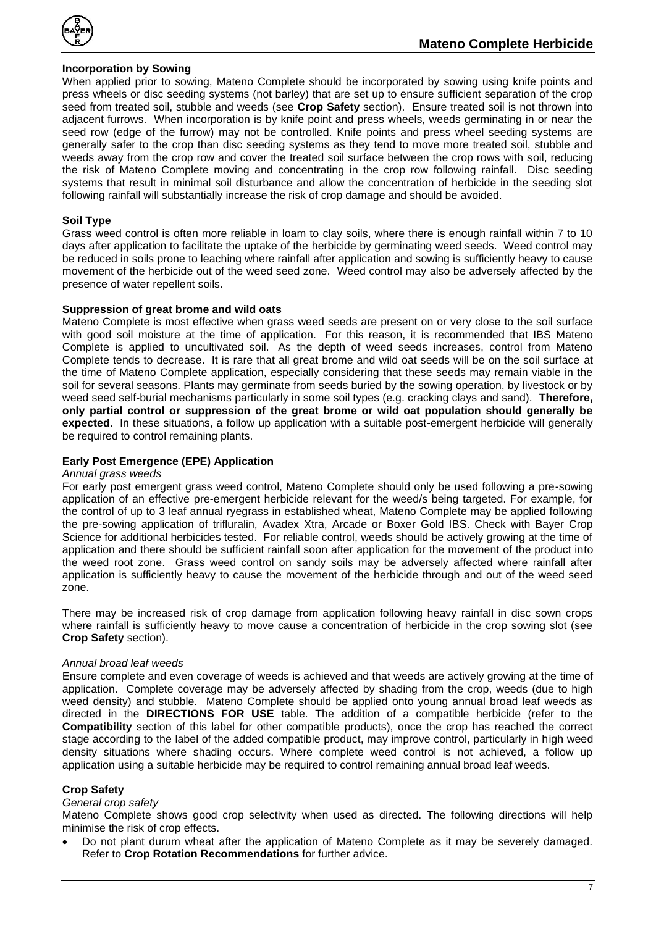

#### <span id="page-6-0"></span>**Incorporation by Sowing**

When applied prior to sowing, Mateno Complete should be incorporated by sowing using knife points and press wheels or disc seeding systems (not barley) that are set up to ensure sufficient separation of the crop seed from treated soil, stubble and weeds (see **Crop Safety** section). Ensure treated soil is not thrown into adjacent furrows. When incorporation is by knife point and press wheels, weeds germinating in or near the seed row (edge of the furrow) may not be controlled. Knife points and press wheel seeding systems are generally safer to the crop than disc seeding systems as they tend to move more treated soil, stubble and weeds away from the crop row and cover the treated soil surface between the crop rows with soil, reducing the risk of Mateno Complete moving and concentrating in the crop row following rainfall. Disc seeding systems that result in minimal soil disturbance and allow the concentration of herbicide in the seeding slot following rainfall will substantially increase the risk of crop damage and should be avoided.

#### <span id="page-6-1"></span>**Soil Type**

Grass weed control is often more reliable in loam to clay soils, where there is enough rainfall within 7 to 10 days after application to facilitate the uptake of the herbicide by germinating weed seeds. Weed control may be reduced in soils prone to leaching where rainfall after application and sowing is sufficiently heavy to cause movement of the herbicide out of the weed seed zone. Weed control may also be adversely affected by the presence of water repellent soils.

#### <span id="page-6-2"></span>**Suppression of great brome and wild oats**

Mateno Complete is most effective when grass weed seeds are present on or very close to the soil surface with good soil moisture at the time of application. For this reason, it is recommended that IBS Mateno Complete is applied to uncultivated soil. As the depth of weed seeds increases, control from Mateno Complete tends to decrease. It is rare that all great brome and wild oat seeds will be on the soil surface at the time of Mateno Complete application, especially considering that these seeds may remain viable in the soil for several seasons. Plants may germinate from seeds buried by the sowing operation, by livestock or by weed seed self-burial mechanisms particularly in some soil types (e.g. cracking clays and sand). **Therefore, only partial control or suppression of the great brome or wild oat population should generally be expected**. In these situations, a follow up application with a suitable post-emergent herbicide will generally be required to control remaining plants.

#### <span id="page-6-3"></span>**Early Post Emergence (EPE) Application**

#### *Annual grass weeds*

For early post emergent grass weed control, Mateno Complete should only be used following a pre-sowing application of an effective pre-emergent herbicide relevant for the weed/s being targeted. For example, for the control of up to 3 leaf annual ryegrass in established wheat, Mateno Complete may be applied following the pre-sowing application of trifluralin, Avadex Xtra, Arcade or Boxer Gold IBS. Check with Bayer Crop Science for additional herbicides tested. For reliable control, weeds should be actively growing at the time of application and there should be sufficient rainfall soon after application for the movement of the product into the weed root zone. Grass weed control on sandy soils may be adversely affected where rainfall after application is sufficiently heavy to cause the movement of the herbicide through and out of the weed seed zone.

There may be increased risk of crop damage from application following heavy rainfall in disc sown crops where rainfall is sufficiently heavy to move cause a concentration of herbicide in the crop sowing slot (see **Crop Safety** section).

#### *Annual broad leaf weeds*

Ensure complete and even coverage of weeds is achieved and that weeds are actively growing at the time of application. Complete coverage may be adversely affected by shading from the crop, weeds (due to high weed density) and stubble. Mateno Complete should be applied onto young annual broad leaf weeds as directed in the **DIRECTIONS FOR USE** table. The addition of a compatible herbicide (refer to the **Compatibility** section of this label for other compatible products), once the crop has reached the correct stage according to the label of the added compatible product, may improve control, particularly in high weed density situations where shading occurs. Where complete weed control is not achieved, a follow up application using a suitable herbicide may be required to control remaining annual broad leaf weeds.

#### <span id="page-6-4"></span>**Crop Safety**

#### *General crop safety*

Mateno Complete shows good crop selectivity when used as directed. The following directions will help minimise the risk of crop effects.

• Do not plant durum wheat after the application of Mateno Complete as it may be severely damaged. Refer to **Crop Rotation Recommendations** for further advice.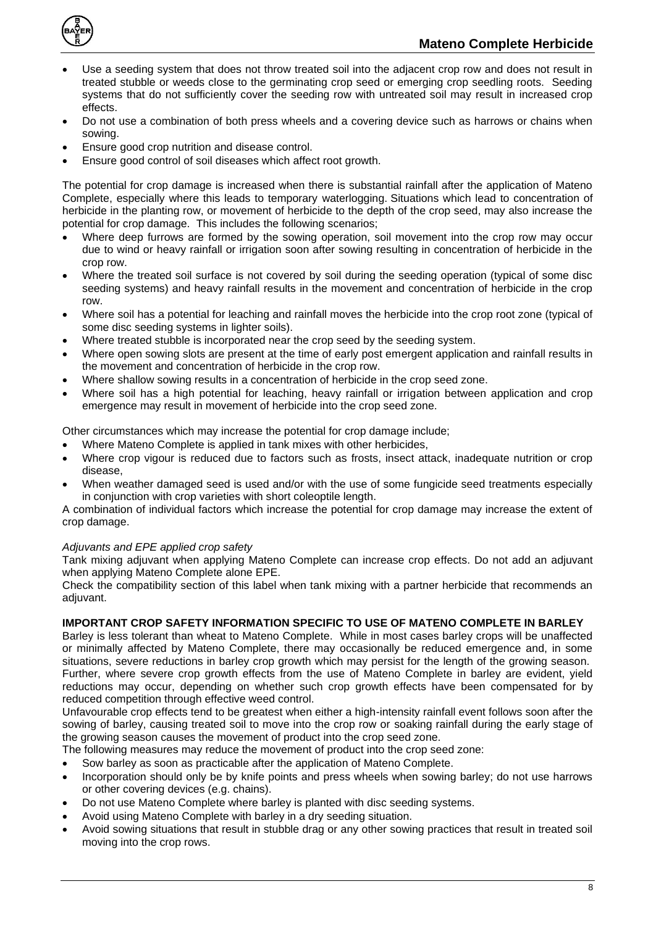

- Use a seeding system that does not throw treated soil into the adjacent crop row and does not result in treated stubble or weeds close to the germinating crop seed or emerging crop seedling roots. Seeding systems that do not sufficiently cover the seeding row with untreated soil may result in increased crop effects.
- Do not use a combination of both press wheels and a covering device such as harrows or chains when sowing.
- Ensure good crop nutrition and disease control.
- Ensure good control of soil diseases which affect root growth.

The potential for crop damage is increased when there is substantial rainfall after the application of Mateno Complete, especially where this leads to temporary waterlogging. Situations which lead to concentration of herbicide in the planting row, or movement of herbicide to the depth of the crop seed, may also increase the potential for crop damage. This includes the following scenarios;

- Where deep furrows are formed by the sowing operation, soil movement into the crop row may occur due to wind or heavy rainfall or irrigation soon after sowing resulting in concentration of herbicide in the crop row.
- Where the treated soil surface is not covered by soil during the seeding operation (typical of some disc seeding systems) and heavy rainfall results in the movement and concentration of herbicide in the crop row.
- Where soil has a potential for leaching and rainfall moves the herbicide into the crop root zone (typical of some disc seeding systems in lighter soils).
- Where treated stubble is incorporated near the crop seed by the seeding system.
- Where open sowing slots are present at the time of early post emergent application and rainfall results in the movement and concentration of herbicide in the crop row.
- Where shallow sowing results in a concentration of herbicide in the crop seed zone.
- Where soil has a high potential for leaching, heavy rainfall or irrigation between application and crop emergence may result in movement of herbicide into the crop seed zone.

Other circumstances which may increase the potential for crop damage include;

- Where Mateno Complete is applied in tank mixes with other herbicides,
- Where crop vigour is reduced due to factors such as frosts, insect attack, inadequate nutrition or crop disease,
- When weather damaged seed is used and/or with the use of some fungicide seed treatments especially in conjunction with crop varieties with short coleoptile length.

A combination of individual factors which increase the potential for crop damage may increase the extent of crop damage.

#### *Adjuvants and EPE applied crop safety*

Tank mixing adjuvant when applying Mateno Complete can increase crop effects. Do not add an adjuvant when applying Mateno Complete alone EPE.

Check the compatibility section of this label when tank mixing with a partner herbicide that recommends an adjuvant.

#### <span id="page-7-0"></span>**IMPORTANT CROP SAFETY INFORMATION SPECIFIC TO USE OF MATENO COMPLETE IN BARLEY**

Barley is less tolerant than wheat to Mateno Complete. While in most cases barley crops will be unaffected or minimally affected by Mateno Complete, there may occasionally be reduced emergence and, in some situations, severe reductions in barley crop growth which may persist for the length of the growing season. Further, where severe crop growth effects from the use of Mateno Complete in barley are evident, yield reductions may occur, depending on whether such crop growth effects have been compensated for by reduced competition through effective weed control.

Unfavourable crop effects tend to be greatest when either a high-intensity rainfall event follows soon after the sowing of barley, causing treated soil to move into the crop row or soaking rainfall during the early stage of the growing season causes the movement of product into the crop seed zone.

The following measures may reduce the movement of product into the crop seed zone:

- Sow barley as soon as practicable after the application of Mateno Complete.
- Incorporation should only be by knife points and press wheels when sowing barley; do not use harrows or other covering devices (e.g. chains).
- Do not use Mateno Complete where barley is planted with disc seeding systems.
- Avoid using Mateno Complete with barley in a dry seeding situation.
- Avoid sowing situations that result in stubble drag or any other sowing practices that result in treated soil moving into the crop rows.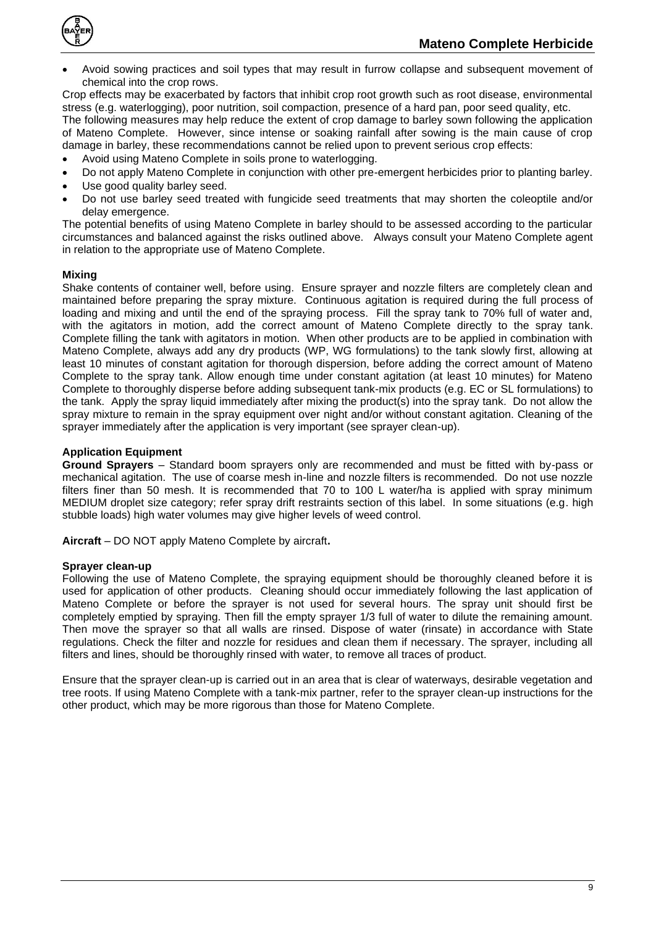

• Avoid sowing practices and soil types that may result in furrow collapse and subsequent movement of chemical into the crop rows.

Crop effects may be exacerbated by factors that inhibit crop root growth such as root disease, environmental stress (e.g. waterlogging), poor nutrition, soil compaction, presence of a hard pan, poor seed quality, etc.

The following measures may help reduce the extent of crop damage to barley sown following the application of Mateno Complete. However, since intense or soaking rainfall after sowing is the main cause of crop damage in barley, these recommendations cannot be relied upon to prevent serious crop effects:

- Avoid using Mateno Complete in soils prone to waterlogging.
- Do not apply Mateno Complete in conjunction with other pre-emergent herbicides prior to planting barley.
- Use good quality barley seed.
- Do not use barley seed treated with fungicide seed treatments that may shorten the coleoptile and/or delay emergence.

The potential benefits of using Mateno Complete in barley should to be assessed according to the particular circumstances and balanced against the risks outlined above. Always consult your Mateno Complete agent in relation to the appropriate use of Mateno Complete.

#### <span id="page-8-0"></span>**Mixing**

Shake contents of container well, before using. Ensure sprayer and nozzle filters are completely clean and maintained before preparing the spray mixture. Continuous agitation is required during the full process of loading and mixing and until the end of the spraying process. Fill the spray tank to 70% full of water and, with the agitators in motion, add the correct amount of Mateno Complete directly to the spray tank. Complete filling the tank with agitators in motion. When other products are to be applied in combination with Mateno Complete, always add any dry products (WP, WG formulations) to the tank slowly first, allowing at least 10 minutes of constant agitation for thorough dispersion, before adding the correct amount of Mateno Complete to the spray tank. Allow enough time under constant agitation (at least 10 minutes) for Mateno Complete to thoroughly disperse before adding subsequent tank-mix products (e.g. EC or SL formulations) to the tank. Apply the spray liquid immediately after mixing the product(s) into the spray tank. Do not allow the spray mixture to remain in the spray equipment over night and/or without constant agitation. Cleaning of the sprayer immediately after the application is very important (see sprayer clean-up).

#### <span id="page-8-1"></span>**Application Equipment**

**Ground Sprayers** – Standard boom sprayers only are recommended and must be fitted with by-pass or mechanical agitation. The use of coarse mesh in-line and nozzle filters is recommended. Do not use nozzle filters finer than 50 mesh. It is recommended that 70 to 100 L water/ha is applied with spray minimum MEDIUM droplet size category; refer spray drift restraints section of this label. In some situations (e.g. high stubble loads) high water volumes may give higher levels of weed control.

**Aircraft** – DO NOT apply Mateno Complete by aircraft**.**

#### <span id="page-8-2"></span>**Sprayer clean-up**

Following the use of Mateno Complete, the spraying equipment should be thoroughly cleaned before it is used for application of other products. Cleaning should occur immediately following the last application of Mateno Complete or before the sprayer is not used for several hours. The spray unit should first be completely emptied by spraying. Then fill the empty sprayer 1/3 full of water to dilute the remaining amount. Then move the sprayer so that all walls are rinsed. Dispose of water (rinsate) in accordance with State regulations. Check the filter and nozzle for residues and clean them if necessary. The sprayer, including all filters and lines, should be thoroughly rinsed with water, to remove all traces of product.

Ensure that the sprayer clean-up is carried out in an area that is clear of waterways, desirable vegetation and tree roots. If using Mateno Complete with a tank-mix partner, refer to the sprayer clean-up instructions for the other product, which may be more rigorous than those for Mateno Complete.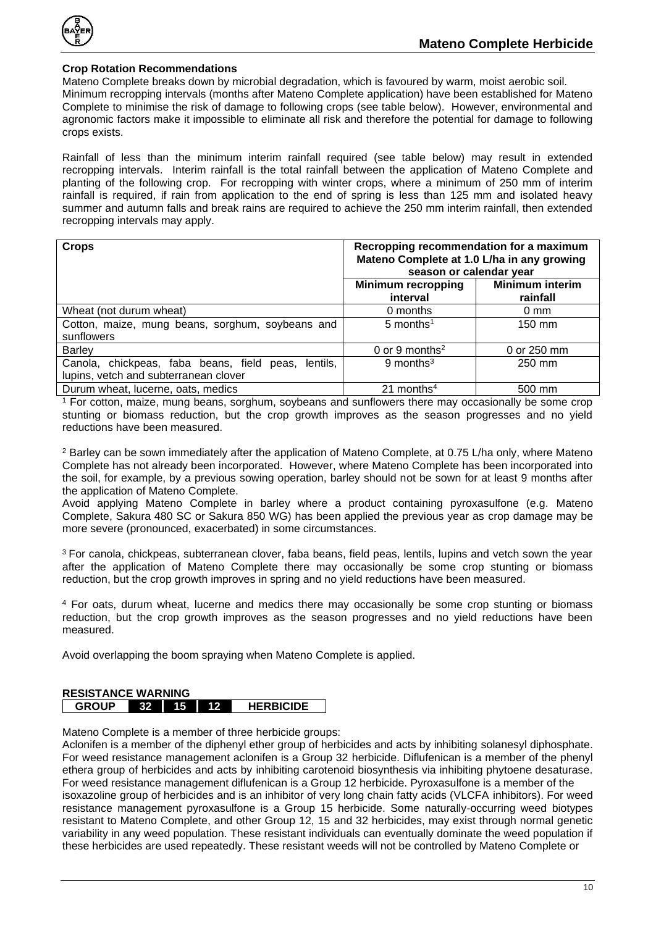

#### <span id="page-9-0"></span>**Crop Rotation Recommendations**

Mateno Complete breaks down by microbial degradation, which is favoured by warm, moist aerobic soil. Minimum recropping intervals (months after Mateno Complete application) have been established for Mateno Complete to minimise the risk of damage to following crops (see table below). However, environmental and agronomic factors make it impossible to eliminate all risk and therefore the potential for damage to following crops exists.

Rainfall of less than the minimum interim rainfall required (see table below) may result in extended recropping intervals. Interim rainfall is the total rainfall between the application of Mateno Complete and planting of the following crop. For recropping with winter crops, where a minimum of 250 mm of interim rainfall is required, if rain from application to the end of spring is less than 125 mm and isolated heavy summer and autumn falls and break rains are required to achieve the 250 mm interim rainfall, then extended recropping intervals may apply.

| <b>Crops</b>                                                                                       | Recropping recommendation for a maximum<br>Mateno Complete at 1.0 L/ha in any growing<br>season or calendar year |                                    |  |
|----------------------------------------------------------------------------------------------------|------------------------------------------------------------------------------------------------------------------|------------------------------------|--|
|                                                                                                    | <b>Minimum recropping</b><br>interval                                                                            | <b>Minimum interim</b><br>rainfall |  |
| Wheat (not durum wheat)                                                                            | 0 months                                                                                                         | $0 \text{ mm}$                     |  |
| Cotton, maize, mung beans, sorghum, soybeans and<br>sunflowers                                     | $5$ months <sup>1</sup>                                                                                          | 150 mm                             |  |
| <b>Barley</b>                                                                                      | 0 or 9 months <sup>2</sup>                                                                                       | 0 or 250 mm                        |  |
| Canola, chickpeas, faba beans, field<br>lentils.<br>peas.<br>lupins, vetch and subterranean clover | $9$ months <sup>3</sup>                                                                                          | 250 mm                             |  |
| Durum wheat, lucerne, oats, medics                                                                 | 21 months $4$                                                                                                    | 500 mm                             |  |

<sup>1</sup> For cotton, maize, mung beans, sorghum, soybeans and sunflowers there may occasionally be some crop stunting or biomass reduction, but the crop growth improves as the season progresses and no yield reductions have been measured.

<sup>2</sup> Barley can be sown immediately after the application of Mateno Complete, at 0.75 L/ha only, where Mateno Complete has not already been incorporated. However, where Mateno Complete has been incorporated into the soil, for example, by a previous sowing operation, barley should not be sown for at least 9 months after the application of Mateno Complete.

Avoid applying Mateno Complete in barley where a product containing pyroxasulfone (e.g. Mateno Complete, Sakura 480 SC or Sakura 850 WG) has been applied the previous year as crop damage may be more severe (pronounced, exacerbated) in some circumstances.

<sup>3</sup>For canola, chickpeas, subterranean clover, faba beans, field peas, lentils, lupins and vetch sown the year after the application of Mateno Complete there may occasionally be some crop stunting or biomass reduction, but the crop growth improves in spring and no yield reductions have been measured.

<sup>4</sup> For oats, durum wheat, lucerne and medics there may occasionally be some crop stunting or biomass reduction, but the crop growth improves as the season progresses and no yield reductions have been measured.

Avoid overlapping the boom spraying when Mateno Complete is applied.

<span id="page-9-1"></span>

| <b>RESISTANCE WARNING</b> |            |     |  |                  |  |
|---------------------------|------------|-----|--|------------------|--|
| <b>GROUP</b>              | <b>AVT</b> | 15. |  | <b>HERBICIDE</b> |  |

Mateno Complete is a member of three herbicide groups:

Aclonifen is a member of the diphenyl ether group of herbicides and acts by inhibiting solanesyl diphosphate. For weed resistance management aclonifen is a Group 32 herbicide. Diflufenican is a member of the phenyl ethera group of herbicides and acts by inhibiting carotenoid biosynthesis via inhibiting phytoene desaturase. For weed resistance management diflufenican is a Group 12 herbicide. Pyroxasulfone is a member of the isoxazoline group of herbicides and is an inhibitor of very long chain fatty acids (VLCFA inhibitors). For weed resistance management pyroxasulfone is a Group 15 herbicide. Some naturally-occurring weed biotypes resistant to Mateno Complete, and other Group 12, 15 and 32 herbicides, may exist through normal genetic variability in any weed population. These resistant individuals can eventually dominate the weed population if these herbicides are used repeatedly. These resistant weeds will not be controlled by Mateno Complete or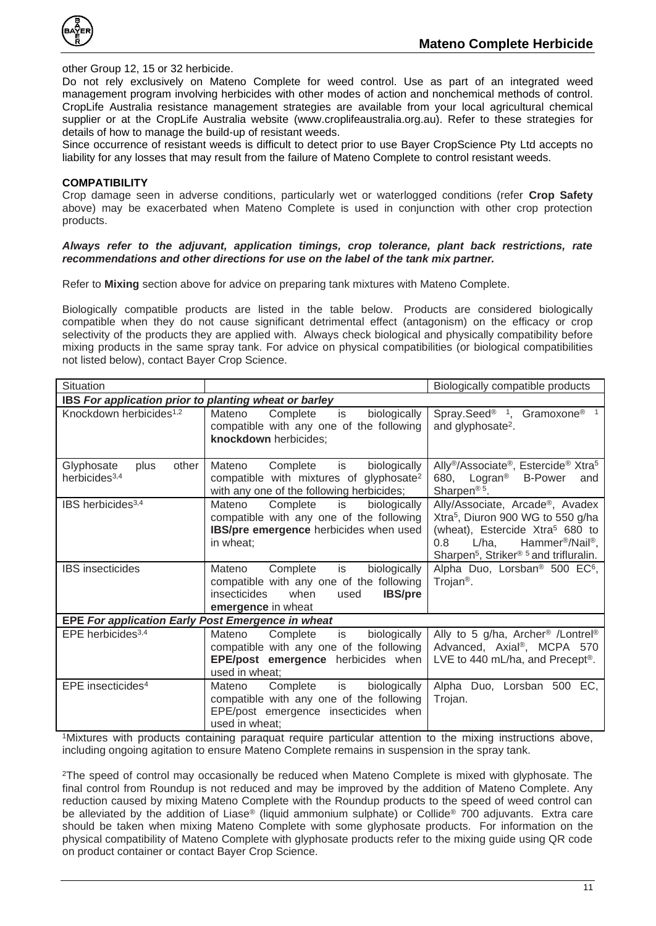

other Group 12, 15 or 32 herbicide.

Do not rely exclusively on Mateno Complete for weed control. Use as part of an integrated weed management program involving herbicides with other modes of action and nonchemical methods of control. CropLife Australia resistance management strategies are available from your local agricultural chemical supplier or at the CropLife Australia website (www.croplifeaustralia.org.au). Refer to these strategies for details of how to manage the build-up of resistant weeds.

Since occurrence of resistant weeds is difficult to detect prior to use Bayer CropScience Pty Ltd accepts no liability for any losses that may result from the failure of Mateno Complete to control resistant weeds.

#### <span id="page-10-0"></span>**COMPATIBILITY**

Crop damage seen in adverse conditions, particularly wet or waterlogged conditions (refer **Crop Safety** above) may be exacerbated when Mateno Complete is used in conjunction with other crop protection products.

#### *Always refer to the adjuvant, application timings, crop tolerance, plant back restrictions, rate recommendations and other directions for use on the label of the tank mix partner.*

Refer to **Mixing** section above for advice on preparing tank mixtures with Mateno Complete.

Biologically compatible products are listed in the table below. Products are considered biologically compatible when they do not cause significant detrimental effect (antagonism) on the efficacy or crop selectivity of the products they are applied with. Always check biological and physically compatibility before mixing products in the same spray tank. For advice on physical compatibilities (or biological compatibilities not listed below), contact Bayer Crop Science.

| Situation                                                |                                                                                                                                                              | Biologically compatible products                                                                                                                                                                                                                              |  |  |
|----------------------------------------------------------|--------------------------------------------------------------------------------------------------------------------------------------------------------------|---------------------------------------------------------------------------------------------------------------------------------------------------------------------------------------------------------------------------------------------------------------|--|--|
| IBS For application prior to planting wheat or barley    |                                                                                                                                                              |                                                                                                                                                                                                                                                               |  |  |
| Knockdown herbicides <sup>1,2</sup>                      | Mateno<br>Complete<br>biologically<br>is<br>compatible with any one of the following<br>knockdown herbicides;                                                | Spray.Seed <sup>®</sup> <sup>1</sup> , Gramoxone <sup>®</sup> <sup>1</sup><br>and glyphosate <sup>2</sup> .                                                                                                                                                   |  |  |
| Glyphosate<br>other<br>plus<br>herbicides <sup>3,4</sup> | biologically<br>Complete<br>is<br>Mateno<br>compatible with mixtures of glyphosate <sup>2</sup><br>with any one of the following herbicides;                 | Ally <sup>®</sup> /Associate <sup>®</sup> , Estercide <sup>®</sup> Xtra <sup>5</sup><br>680, Logran <sup>®</sup> B-Power<br>and<br>Sharpen <sup>® 5</sup> .                                                                                                   |  |  |
| IBS herbicides <sup>3,4</sup>                            | Mateno<br>Complete<br>is<br>biologically<br>compatible with any one of the following<br>IBS/pre emergence herbicides when used<br>in wheat;                  | Ally/Associate, Arcade®, Avadex<br>Xtra <sup>5</sup> , Diuron 900 WG to 550 g/ha<br>(wheat), Estercide Xtra <sup>5</sup> 680 to<br>$L/ha$ , Hammer <sup>®</sup> /Nail <sup>®</sup> ,<br>0.8<br>Sharpen <sup>5</sup> , Striker <sup>® 5</sup> and trifluralin. |  |  |
| <b>IBS</b> insecticides                                  | Mateno<br>Complete<br>is<br>biologically<br>compatible with any one of the following<br>insecticides<br>when<br><b>IBS/pre</b><br>used<br>emergence in wheat | Alpha Duo, Lorsban <sup>®</sup> 500 EC <sup>6</sup> ,<br>Trojan <sup>®</sup> .                                                                                                                                                                                |  |  |
| EPE For application Early Post Emergence in wheat        |                                                                                                                                                              |                                                                                                                                                                                                                                                               |  |  |
| EPE herbicides <sup>3,4</sup>                            | Complete<br>is<br>biologically<br>Mateno<br>compatible with any one of the following<br><b>EPE/post emergence</b> herbicides when<br>used in wheat;          | Ally to 5 g/ha, Archer <sup>®</sup> /Lontrel <sup>®</sup><br>Advanced, Axial®, MCPA 570<br>LVE to 440 mL/ha, and Precept <sup>®</sup> .                                                                                                                       |  |  |
| EPE insecticides <sup>4</sup>                            | biologically<br>Complete<br>is<br>Mateno<br>compatible with any one of the following<br>EPE/post emergence insecticides when<br>used in wheat;               | Alpha Duo, Lorsban 500 EC,<br>Trojan.                                                                                                                                                                                                                         |  |  |

<sup>1</sup>Mixtures with products containing paraquat require particular attention to the mixing instructions above, including ongoing agitation to ensure Mateno Complete remains in suspension in the spray tank.

<sup>2</sup>The speed of control may occasionally be reduced when Mateno Complete is mixed with glyphosate. The final control from Roundup is not reduced and may be improved by the addition of Mateno Complete. Any reduction caused by mixing Mateno Complete with the Roundup products to the speed of weed control can be alleviated by the addition of Liase® (liquid ammonium sulphate) or Collide® 700 adjuvants. Extra care should be taken when mixing Mateno Complete with some glyphosate products. For information on the physical compatibility of Mateno Complete with glyphosate products refer to the mixing guide using QR code on product container or contact Bayer Crop Science.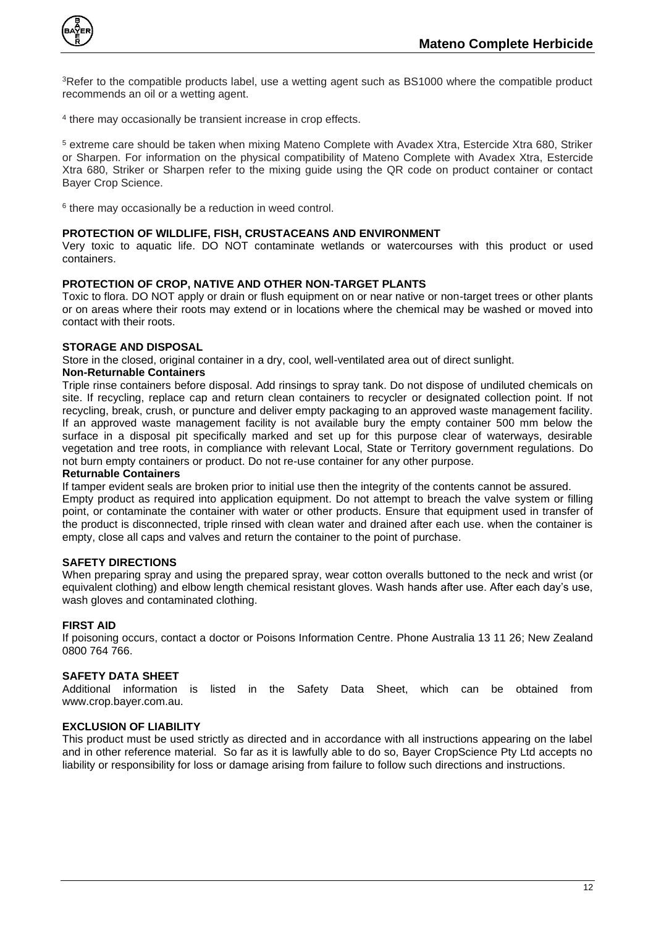

<sup>3</sup>Refer to the compatible products label, use a wetting agent such as BS1000 where the compatible product recommends an oil or a wetting agent.

4 there may occasionally be transient increase in crop effects.

<sup>5</sup> extreme care should be taken when mixing Mateno Complete with Avadex Xtra, Estercide Xtra 680, Striker or Sharpen. For information on the physical compatibility of Mateno Complete with Avadex Xtra, Estercide Xtra 680, Striker or Sharpen refer to the mixing guide using the QR code on product container or contact Bayer Crop Science.

6 there may occasionally be a reduction in weed control.

#### <span id="page-11-0"></span>**PROTECTION OF WILDLIFE, FISH, CRUSTACEANS AND ENVIRONMENT**

Very toxic to aquatic life. DO NOT contaminate wetlands or watercourses with this product or used containers.

#### <span id="page-11-1"></span>**PROTECTION OF CROP, NATIVE AND OTHER NON-TARGET PLANTS**

Toxic to flora. DO NOT apply or drain or flush equipment on or near native or non-target trees or other plants or on areas where their roots may extend or in locations where the chemical may be washed or moved into contact with their roots.

#### <span id="page-11-2"></span>**STORAGE AND DISPOSAL**

Store in the closed, original container in a dry, cool, well-ventilated area out of direct sunlight.

#### **Non-Returnable Containers**

Triple rinse containers before disposal. Add rinsings to spray tank. Do not dispose of undiluted chemicals on site. If recycling, replace cap and return clean containers to recycler or designated collection point. If not recycling, break, crush, or puncture and deliver empty packaging to an approved waste management facility. If an approved waste management facility is not available bury the empty container 500 mm below the surface in a disposal pit specifically marked and set up for this purpose clear of waterways, desirable vegetation and tree roots, in compliance with relevant Local, State or Territory government regulations. Do not burn empty containers or product. Do not re-use container for any other purpose.

#### **Returnable Containers**

If tamper evident seals are broken prior to initial use then the integrity of the contents cannot be assured.

Empty product as required into application equipment. Do not attempt to breach the valve system or filling point, or contaminate the container with water or other products. Ensure that equipment used in transfer of the product is disconnected, triple rinsed with clean water and drained after each use. when the container is empty, close all caps and valves and return the container to the point of purchase.

#### <span id="page-11-3"></span>**SAFETY DIRECTIONS**

When preparing spray and using the prepared spray, wear cotton overalls buttoned to the neck and wrist (or equivalent clothing) and elbow length chemical resistant gloves. Wash hands after use. After each day's use, wash gloves and contaminated clothing.

#### <span id="page-11-4"></span>**FIRST AID**

If poisoning occurs, contact a doctor or Poisons Information Centre. Phone Australia 13 11 26; New Zealand 0800 764 766.

<span id="page-11-5"></span>**SAFETY DATA SHEET**<br>Additional information is listed in the Safety Data Sheet, which can be obtained from www.crop.bayer.com.au.

#### <span id="page-11-6"></span>**EXCLUSION OF LIABILITY**

This product must be used strictly as directed and in accordance with all instructions appearing on the label and in other reference material. So far as it is lawfully able to do so, Bayer CropScience Pty Ltd accepts no liability or responsibility for loss or damage arising from failure to follow such directions and instructions.